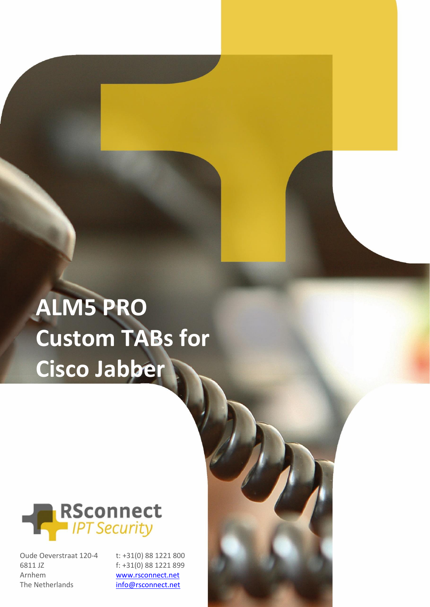## **ALM5 PRO Custom TABs for Cisco Jabber**



Oude Oeverstraat 120-4 6811 JZ Arnhem The Netherlands

ALM – Custom Tabber 1988, Tabber 1988, Tabber 1988, Tabber 1988, Tabber 1988, Tabber 1988, Tabber 1988, Tabber 1988, Tabber 1988, Tabber 1988, Tabber 1988, Tabber 1988, Tabber 1988, Tabber 1988, Tabber 1988, Tabber 1988, T t: +31(0) 88 1221 800 f: +31(0) 88 1221 899 [www.rsconnect.net](http://www.rsconnect.net/) [info@rsconnect.net](mailto:info@rsconnect.net)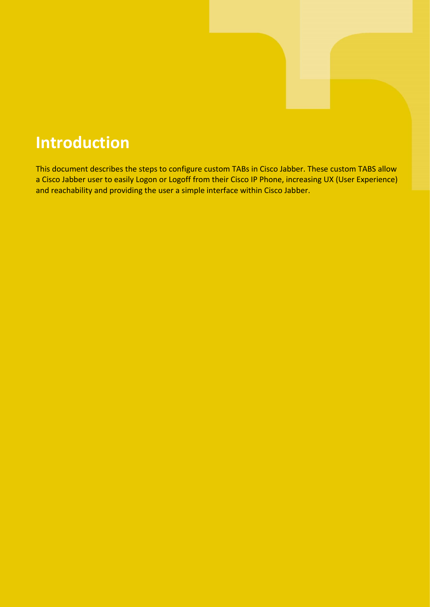## **Introduction**

This document describes the steps to configure custom TABs in Cisco Jabber. These custom TABS allow a Cisco Jabber user to easily Logon or Logoff from their Cisco IP Phone, increasing UX (User Experience) and reachability and providing the user a simple interface within Cisco Jabber.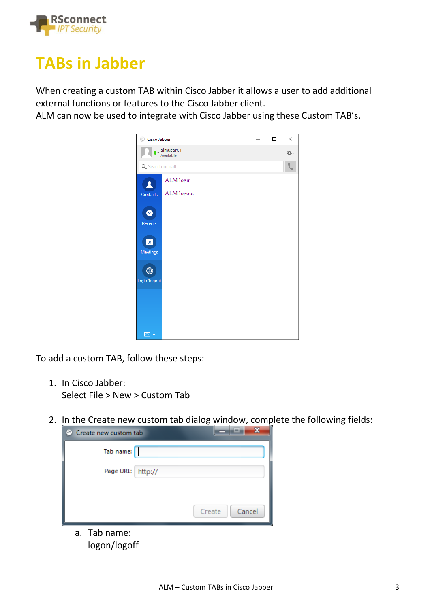

## **TABs in Jabber**

When creating a custom TAB within Cisco Jabber it allows a user to add additional external functions or features to the Cisco Jabber client.

ALM can now be used to integrate with Cisco Jabber using these Custom TAB's.



To add a custom TAB, follow these steps:

- 1. In Cisco Jabber: Select File > New > Custom Tab
- 2. In the Create new custom tab dialog window, complete the following fields:

| Create new custom tab<br>o |                  |
|----------------------------|------------------|
| Tab name:                  |                  |
| Page URL: http://          |                  |
|                            |                  |
|                            | Cancel<br>Create |
| a. Tab name:               |                  |

logon/logoff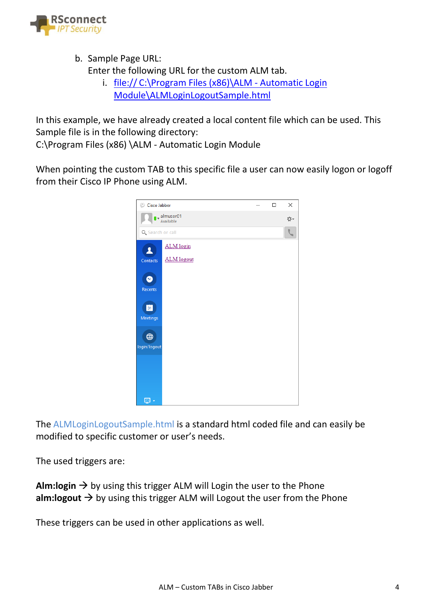

b. Sample Page URL:

Enter the following URL for the custom ALM tab.

i. file:// C:\Program Files (x86)\ALM - Automatic Login Module\ALMLoginLogoutSample.html

In this example, we have already created a local content file which can be used. This Sample file is in the following directory:

C:\Program Files (x86) \ALM - Automatic Login Module

When pointing the custom TAB to this specific file a user can now easily logon or logoff from their Cisco IP Phone using ALM.



The ALMLoginLogoutSample.html is a standard html coded file and can easily be modified to specific customer or user's needs.

The used triggers are:

**Alm:login**  $\rightarrow$  by using this trigger ALM will Login the user to the Phone **alm:logout**  $\rightarrow$  by using this trigger ALM will Logout the user from the Phone

These triggers can be used in other applications as well.